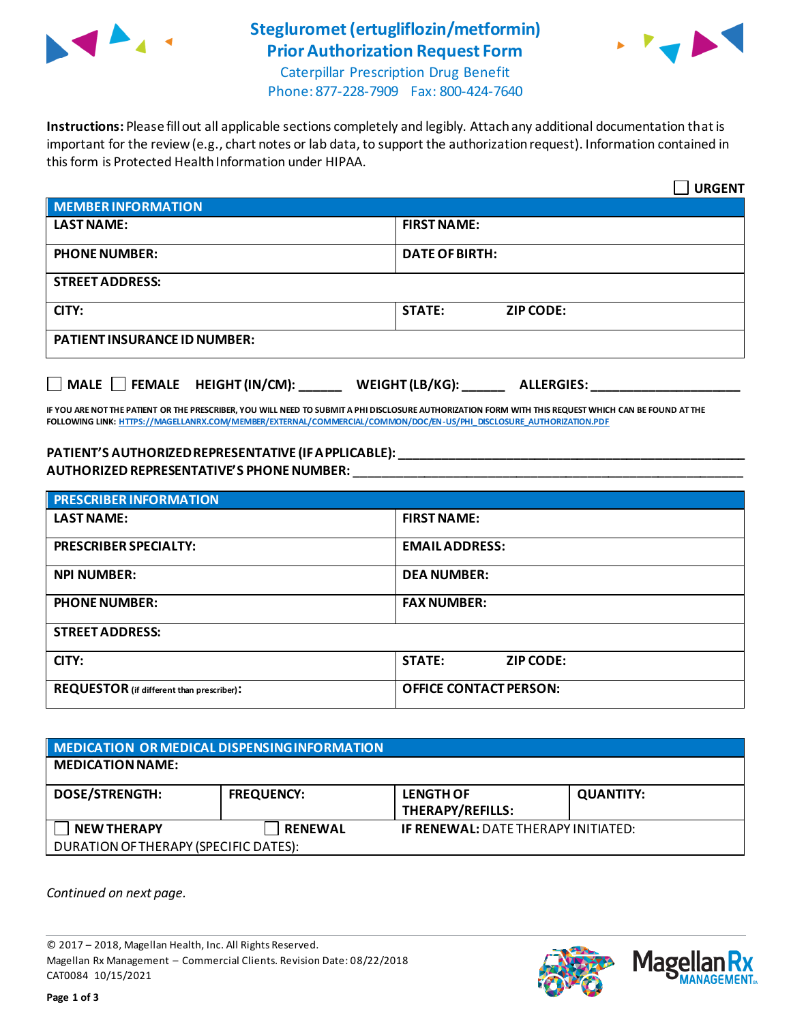

## **Stegluromet(ertugliflozin/metformin) Prior Authorization Request Form**



Caterpillar Prescription Drug Benefit Phone: 877-228-7909 Fax: 800-424-7640

**Instructions:** Please fill out all applicable sections completely and legibly. Attach any additional documentation that is important for the review (e.g., chart notes or lab data, to support the authorization request). Information contained in this form is Protected Health Information under HIPAA.

|                                                                                   | <b>URGENT</b>                     |  |  |
|-----------------------------------------------------------------------------------|-----------------------------------|--|--|
| <b>MEMBER INFORMATION</b>                                                         |                                   |  |  |
| <b>LAST NAME:</b>                                                                 | <b>FIRST NAME:</b>                |  |  |
| <b>PHONE NUMBER:</b>                                                              | <b>DATE OF BIRTH:</b>             |  |  |
| <b>STREET ADDRESS:</b>                                                            |                                   |  |  |
| CITY:                                                                             | <b>STATE:</b><br><b>ZIP CODE:</b> |  |  |
| <b>PATIENT INSURANCE ID NUMBER:</b>                                               |                                   |  |  |
| $\Box$ MALE $\Box$ FEMALE HEIGHT (IN/CM):<br>WEIGHT (LB/KG):<br><b>ALLERGIES:</b> |                                   |  |  |

**IF YOU ARE NOT THE PATIENT OR THE PRESCRIBER, YOU WILL NEED TO SUBMIT A PHI DISCLOSURE AUTHORIZATION FORM WITH THIS REQUEST WHICH CAN BE FOUND AT THE FOLLOWING LINK[: HTTPS://MAGELLANRX.COM/MEMBER/EXTERNAL/COMMERCIAL/COMMON/DOC/EN-US/PHI\\_DISCLOSURE\\_AUTHORIZATION.PDF](https://magellanrx.com/member/external/commercial/common/doc/en-us/PHI_Disclosure_Authorization.pdf)**

## **PATIENT'S AUTHORIZED REPRESENTATIVE (IF APPLICABLE): \_\_\_\_\_\_\_\_\_\_\_\_\_\_\_\_\_\_\_\_\_\_\_\_\_\_\_\_\_\_\_\_\_\_\_\_\_\_\_\_\_\_\_\_\_\_\_\_\_ AUTHORIZED REPRESENTATIVE'S PHONE NUMBER:** \_\_\_\_\_\_\_\_\_\_\_\_\_\_\_\_\_\_\_\_\_\_\_\_\_\_\_\_\_\_\_\_\_\_\_\_\_\_\_\_\_\_\_\_\_\_\_\_\_\_\_\_\_\_\_

| <b>PRESCRIBER INFORMATION</b>             |                               |  |  |
|-------------------------------------------|-------------------------------|--|--|
| <b>LAST NAME:</b>                         | <b>FIRST NAME:</b>            |  |  |
| <b>PRESCRIBER SPECIALTY:</b>              | <b>EMAIL ADDRESS:</b>         |  |  |
| <b>NPI NUMBER:</b>                        | <b>DEA NUMBER:</b>            |  |  |
| <b>PHONE NUMBER:</b>                      | <b>FAX NUMBER:</b>            |  |  |
| <b>STREET ADDRESS:</b>                    |                               |  |  |
| CITY:                                     | <b>STATE:</b><br>ZIP CODE:    |  |  |
| REQUESTOR (if different than prescriber): | <b>OFFICE CONTACT PERSON:</b> |  |  |

| MEDICATION OR MEDICAL DISPENSING INFORMATION |                   |                                            |                  |  |  |
|----------------------------------------------|-------------------|--------------------------------------------|------------------|--|--|
| <b>MEDICATION NAME:</b>                      |                   |                                            |                  |  |  |
| <b>DOSE/STRENGTH:</b>                        | <b>FREQUENCY:</b> | <b>LENGTH OF</b><br>THERAPY/REFILLS:       | <b>QUANTITY:</b> |  |  |
| <b>NEW THERAPY</b>                           | <b>RENEWAL</b>    | <b>IF RENEWAL: DATE THERAPY INITIATED:</b> |                  |  |  |
| DURATION OF THERAPY (SPECIFIC DATES):        |                   |                                            |                  |  |  |

*Continued on next page.*

© 2017 – 2018, Magellan Health, Inc. All Rights Reserved. Magellan Rx Management – Commercial Clients. Revision Date: 08/22/2018 CAT0084 10/15/2021



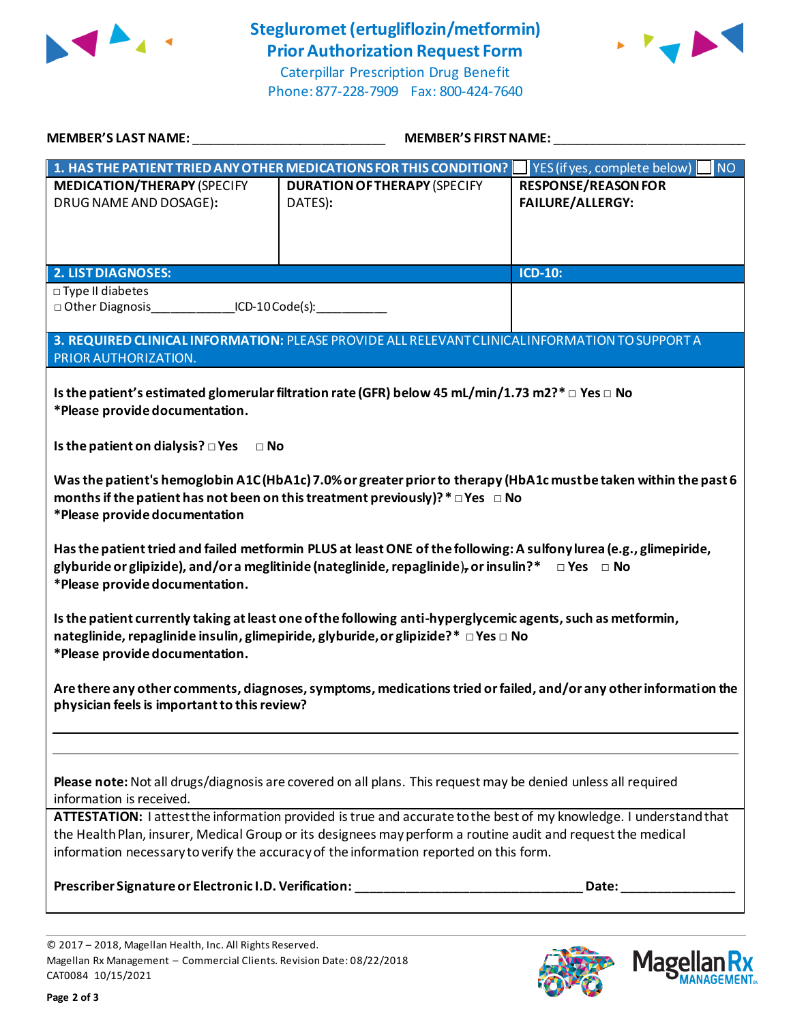

## **Stegluromet(ertugliflozin/metformin) Prior Authorization Request Form**



Caterpillar Prescription Drug Benefit Phone: 877-228-7909 Fax: 800-424-7640

| <b>MEMBER'S LAST NAME:</b>                                                                                                                                                                                                                                                                                                   | MEMBER'S FIRST NAME:                                                                            |                                                       |  |  |
|------------------------------------------------------------------------------------------------------------------------------------------------------------------------------------------------------------------------------------------------------------------------------------------------------------------------------|-------------------------------------------------------------------------------------------------|-------------------------------------------------------|--|--|
|                                                                                                                                                                                                                                                                                                                              | 1. HAS THE PATIENT TRIED ANY OTHER MEDICATIONS FOR THIS CONDITION?                              | NO <sub>1</sub><br>YES (if yes, complete below)       |  |  |
| <b>MEDICATION/THERAPY (SPECIFY</b><br>DRUG NAME AND DOSAGE):                                                                                                                                                                                                                                                                 | <b>DURATION OF THERAPY (SPECIFY</b><br>DATES):                                                  | <b>RESPONSE/REASON FOR</b><br><b>FAILURE/ALLERGY:</b> |  |  |
| <b>2. LIST DIAGNOSES:</b>                                                                                                                                                                                                                                                                                                    |                                                                                                 | <b>ICD-10:</b>                                        |  |  |
| □ Type II diabetes<br>□ Other Diagnosis _______________ ICD-10 Code(s):                                                                                                                                                                                                                                                      |                                                                                                 |                                                       |  |  |
| PRIOR AUTHORIZATION.                                                                                                                                                                                                                                                                                                         | 3. REQUIRED CLINICAL INFORMATION: PLEASE PROVIDE ALL RELEVANT CLINICAL INFORMATION TO SUPPORT A |                                                       |  |  |
| Is the patient's estimated glomerular filtration rate (GFR) below 45 mL/min/1.73 m2?* □ Yes □ No<br>*Please provide documentation.                                                                                                                                                                                           |                                                                                                 |                                                       |  |  |
| Is the patient on dialysis? $\square$ Yes<br>$\Box$ No                                                                                                                                                                                                                                                                       |                                                                                                 |                                                       |  |  |
| Was the patient's hemoglobin A1C (HbA1c) 7.0% or greater prior to therapy (HbA1c mustbe taken within the past 6<br>months if the patient has not been on this treatment previously)? $* \Box Y$ es $\Box$ No<br>*Please provide documentation                                                                                |                                                                                                 |                                                       |  |  |
| Has the patient tried and failed metformin PLUS at least ONE of the following: A sulfony lurea (e.g., glimepiride,<br>glyburide or glipizide), and/or a meglitinide (nateglinide, repaglinide), or insulin?*<br>$\Box$ Yes $\Box$ No<br>*Please provide documentation.                                                       |                                                                                                 |                                                       |  |  |
| Is the patient currently taking at least one of the following anti-hyperglycemic agents, such as metformin,<br>nateglinide, repaglinide insulin, glimepiride, glyburide, or glipizide?* □ Yes □ No<br>*Please provide documentation.                                                                                         |                                                                                                 |                                                       |  |  |
| Are there any other comments, diagnoses, symptoms, medications tried or failed, and/or any other information the<br>physician feels is important to this review?                                                                                                                                                             |                                                                                                 |                                                       |  |  |
|                                                                                                                                                                                                                                                                                                                              |                                                                                                 |                                                       |  |  |
| Please note: Not all drugs/diagnosis are covered on all plans. This request may be denied unless all required<br>information is received.                                                                                                                                                                                    |                                                                                                 |                                                       |  |  |
| ATTESTATION: I attest the information provided is true and accurate to the best of my knowledge. I understand that<br>the Health Plan, insurer, Medical Group or its designees may perform a routine audit and request the medical<br>information necessary to verify the accuracy of the information reported on this form. |                                                                                                 |                                                       |  |  |
|                                                                                                                                                                                                                                                                                                                              |                                                                                                 |                                                       |  |  |
|                                                                                                                                                                                                                                                                                                                              |                                                                                                 |                                                       |  |  |



**Magel** 

**MANAGEMENT**<sub>SM</sub>

<sup>© 2017</sup> – 2018, Magellan Health, Inc. All Rights Reserved. Magellan Rx Management – Commercial Clients. Revision Date: 08/22/2018 CAT0084 10/15/2021